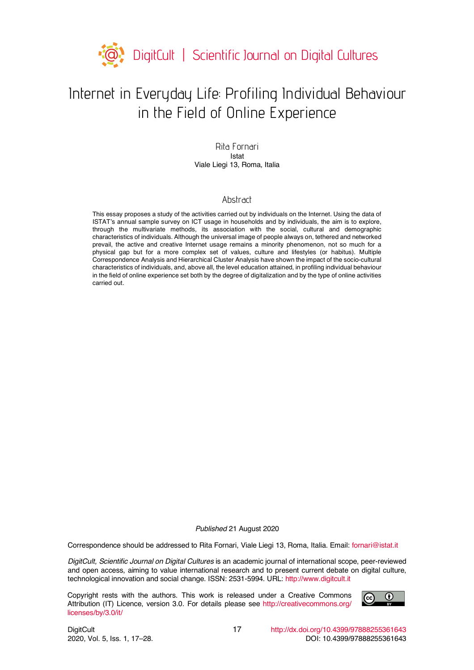

# Internet in Everyday Life: Profiling Individual Behaviour in the Field of Online Experience

Rita Fornari Istat Viale Liegi 13, Roma, Italia

### Abstract

This essay proposes a study of the activities carried out by individuals on the Internet. Using the data of ISTAT's annual sample survey on ICT usage in households and by individuals, the aim is to explore, through the multivariate methods, its association with the social, cultural and demographic characteristics of individuals. Although the universal image of people always on, tethered and networked prevail, the active and creative Internet usage remains a minority phenomenon, not so much for a physical gap but for a more complex set of values, culture and lifestyles (or habitus). Multiple Correspondence Analysis and Hierarchical Cluster Analysis have shown the impact of the socio-cultural characteristics of individuals, and, above all, the level education attained, in profiling individual behaviour in the field of online experience set both by the degree of digitalization and by the type of online activities carried out.

*Published* 21 August 2020

Correspondence should be addressed to Rita Fornari, Viale Liegi 13, Roma, Italia. Email: fornari@istat.it

*DigitCult, Scientific Journal on Digital Cultures* is an academic journal of international scope, peer-reviewed and open access, aiming to value international research and to present current debate on digital culture, technological innovation and social change. ISSN: 2531-5994. URL: http://www.digitcult.it

Copyright rests with the authors. This work is released under a Creative Commons Attribution (IT) Licence, version 3.0. For details please see http://creativecommons.org/ licenses/by/3.0/it/

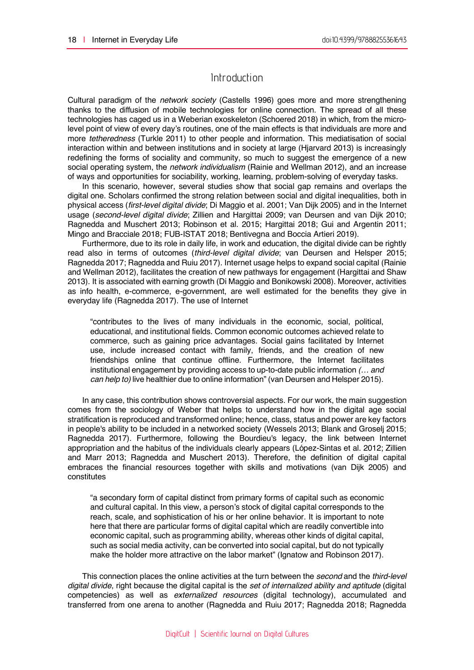# Introduction

Cultural paradigm of the *network society* (Castells 1996) goes more and more strengthening thanks to the diffusion of mobile technologies for online connection. The spread of all these technologies has caged us in a Weberian exoskeleton (Schoered 2018) in which, from the microlevel point of view of every day's routines, one of the main effects is that individuals are more and more *tetheredness* (Turkle 2011) to other people and information. This mediatisation of social interaction within and between institutions and in society at large (Hjarvard 2013) is increasingly redefining the forms of sociality and community, so much to suggest the emergence of a new social operating system, the *network individualism* (Rainie and Wellman 2012), and an increase of ways and opportunities for sociability, working, learning, problem-solving of everyday tasks.

In this scenario, however, several studies show that social gap remains and overlaps the digital one. Scholars confirmed the strong relation between social and digital inequalities, both in physical access (*first-level digital divide*; Di Maggio et al. 2001; Van Dijk 2005) and in the Internet usage (*second-level digital divide*; Zillien and Hargittai 2009; van Deursen and van Dijk 2010; Ragnedda and Muschert 2013; Robinson et al. 2015; Hargittai 2018; Gui and Argentin 2011; Mingo and Bracciale 2018; FUB-ISTAT 2018; Bentivegna and Boccia Artieri 2019).

Furthermore, due to its role in daily life, in work and education, the digital divide can be rightly read also in terms of outcomes (*third-level digital divide*; van Deursen and Helsper 2015; Ragnedda 2017; Ragnedda and Ruiu 2017). Internet usage helps to expand social capital (Rainie and Wellman 2012), facilitates the creation of new pathways for engagement (Hargittai and Shaw 2013). It is associated with earning growth (Di Maggio and Bonikowski 2008). Moreover, activities as info health, e-commerce, e-government, are well estimated for the benefits they give in everyday life (Ragnedda 2017). The use of Internet

"contributes to the lives of many individuals in the economic, social, political, educational, and institutional fields. Common economic outcomes achieved relate to commerce, such as gaining price advantages. Social gains facilitated by Internet use, include increased contact with family, friends, and the creation of new friendships online that continue offline. Furthermore, the Internet facilitates institutional engagement by providing access to up-to-date public information *(… and can help to)* live healthier due to online information" (van Deursen and Helsper 2015).

In any case, this contribution shows controversial aspects. For our work, the main suggestion comes from the sociology of Weber that helps to understand how in the digital age social stratification is reproduced and transformed online; hence, class, status and power are key factors in people's ability to be included in a networked society (Wessels 2013; Blank and Groselj 2015; Ragnedda 2017). Furthermore, following the Bourdieu's legacy, the link between Internet appropriation and the habitus of the individuals clearly appears (López-Sintas et al. 2012; Zillien and Marr 2013; Ragnedda and Muschert 2013). Therefore, the definition of digital capital embraces the financial resources together with skills and motivations (van Dijk 2005) and constitutes

"a secondary form of capital distinct from primary forms of capital such as economic and cultural capital. In this view, a person's stock of digital capital corresponds to the reach, scale, and sophistication of his or her online behavior. It is important to note here that there are particular forms of digital capital which are readily convertible into economic capital, such as programming ability, whereas other kinds of digital capital, such as social media activity, can be converted into social capital, but do not typically make the holder more attractive on the labor market" (Ignatow and Robinson 2017).

This connection places the online activities at the turn between the *second* and the *third-level digital divide*, right because the digital capital is the *set of internalized ability and aptitude* (digital competencies) as well as *externalized resources* (digital technology), accumulated and transferred from one arena to another (Ragnedda and Ruiu 2017; Ragnedda 2018; Ragnedda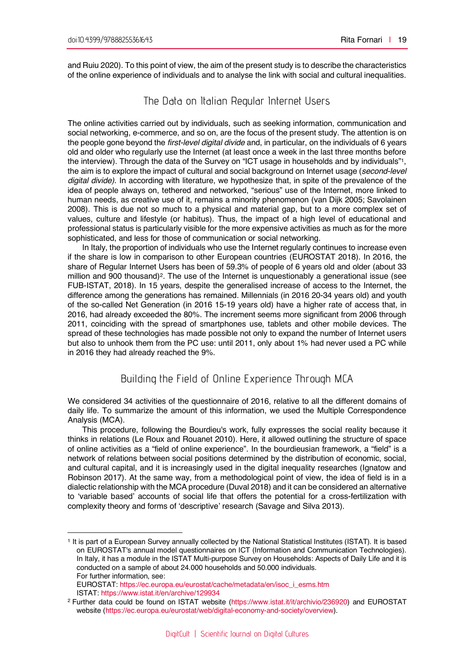$\overline{a}$ 

and Ruiu 2020). To this point of view, the aim of the present study is to describe the characteristics of the online experience of individuals and to analyse the link with social and cultural inequalities.

# The Data on Italian Regular Internet Users

The online activities carried out by individuals, such as seeking information, communication and social networking, e-commerce, and so on, are the focus of the present study. The attention is on the people gone beyond the *first-level digital divide* and, in particular, on the individuals of 6 years old and older who regularly use the Internet (at least once a week in the last three months before the interview). Through the data of the Survey on "ICT usage in households and by individuals"1, the aim is to explore the impact of cultural and social background on Internet usage (*second-level digital divide)*. In according with literature, we hypothesize that, in spite of the prevalence of the idea of people always on, tethered and networked, "serious" use of the Internet, more linked to human needs, as creative use of it, remains a minority phenomenon (van Dijk 2005; Savolainen 2008). This is due not so much to a physical and material gap, but to a more complex set of values, culture and lifestyle (or habitus). Thus, the impact of a high level of educational and professional status is particularly visible for the more expensive activities as much as for the more sophisticated, and less for those of communication or social networking.

In Italy, the proportion of individuals who use the Internet regularly continues to increase even if the share is low in comparison to other European countries (EUROSTAT 2018). In 2016, the share of Regular Internet Users has been of 59.3% of people of 6 years old and older (about 33 million and 900 thousand)2. The use of the Internet is unquestionably a generational issue (see FUB-ISTAT, 2018). In 15 years, despite the generalised increase of access to the Internet, the difference among the generations has remained. Millennials (in 2016 20-34 years old) and youth of the so-called Net Generation (in 2016 15-19 years old) have a higher rate of access that, in 2016, had already exceeded the 80%. The increment seems more significant from 2006 through 2011, coinciding with the spread of smartphones use, tablets and other mobile devices. The spread of these technologies has made possible not only to expand the number of Internet users but also to unhook them from the PC use: until 2011, only about 1% had never used a PC while in 2016 they had already reached the 9%.

# Building the Field of Online Experience Through MCA

We considered 34 activities of the questionnaire of 2016, relative to all the different domains of daily life. To summarize the amount of this information, we used the Multiple Correspondence Analysis (MCA).

This procedure, following the Bourdieu's work, fully expresses the social reality because it thinks in relations (Le Roux and Rouanet 2010). Here, it allowed outlining the structure of space of online activities as a "field of online experience". In the bourdieusian framework, a "field" is a network of relations between social positions determined by the distribution of economic, social, and cultural capital, and it is increasingly used in the digital inequality researches (Ignatow and Robinson 2017). At the same way, from a methodological point of view, the idea of field is in a dialectic relationship with the MCA procedure (Duval 2018) and it can be considered an alternative to 'variable based' accounts of social life that offers the potential for a cross-fertilization with complexity theory and forms of 'descriptive' research (Savage and Silva 2013).

<sup>1</sup> It is part of a European Survey annually collected by the National Statistical Institutes (ISTAT). It is based on EUROSTAT's annual model questionnaires on ICT (Information and Communication Technologies). In Italy, it has a module in the ISTAT Multi-purpose Survey on Households: Aspects of Daily Life and it is conducted on a sample of about 24.000 households and 50.000 individuals. For further information, see:

EUROSTAT: https://ec.europa.eu/eurostat/cache/metadata/en/isoc\_i\_esms.htm ISTAT: https://www.istat.it/en/archive/129934

<sup>&</sup>lt;sup>2</sup> Further data could be found on ISTAT website (https://www.istat.it/it/archivio/236920) and EUROSTAT website (https://ec.europa.eu/eurostat/web/digital-economy-and-society/overview).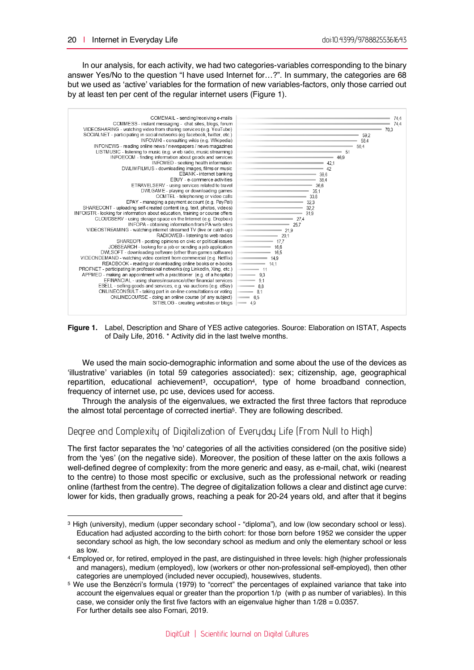$\overline{a}$ 

In our analysis, for each activity, we had two categories-variables corresponding to the binary answer Yes/No to the question "I have used Internet for…?". In summary, the categories are 68 but we used as 'active' variables for the formation of new variables-factors, only those carried out by at least ten per cent of the regular internet users (Figure 1).



**Figure 1.** Label, Description and Share of YES active categories. Source: Elaboration on ISTAT, Aspects of Daily Life, 2016. \* Activity did in the last twelve months.

We used the main socio-demographic information and some about the use of the devices as 'illustrative' variables (in total 59 categories associated): sex; citizenship, age, geographical repartition, educational achievement<sup>3</sup>, occupation<sup>4</sup>, type of home broadband connection, frequency of internet use, pc use, devices used for access.

Through the analysis of the eigenvalues, we extracted the first three factors that reproduce the almost total percentage of corrected inertia5. They are following described.

## Degree and Complexity of Digitalization of Everyday Life (From Null to High)

The first factor separates the 'no' categories of all the activities considered (on the positive side) from the 'yes' (on the negative side). Moreover, the position of these latter on the axis follows a well-defined degree of complexity: from the more generic and easy, as e-mail, chat, wiki (nearest to the centre) to those most specific or exclusive, such as the professional network or reading online (farthest from the centre). The degree of digitalization follows a clear and distinct age curve: lower for kids, then gradually grows, reaching a peak for 20-24 years old, and after that it begins

<sup>&</sup>lt;sup>3</sup> High (university), medium (upper secondary school - "diploma"), and low (low secondary school or less). Education had adjusted according to the birth cohort: for those born before 1952 we consider the upper secondary school as high, the low secondary school as medium and only the elementary school or less as low.

<sup>4</sup> Employed or, for retired, employed in the past, are distinguished in three levels: high (higher professionals and managers), medium (employed), low (workers or other non-professional self-employed), then other categories are unemployed (included never occupied), housewives, students.

<sup>5</sup> We use the Benzécri's formula (1979) to "correct" the percentages of explained variance that take into account the eigenvalues equal or greater than the proportion 1/p (with p as number of variables). In this case, we consider only the first five factors with an eigenvalue higher than  $1/28 = 0.0357$ . For further details see also Fornari, 2019.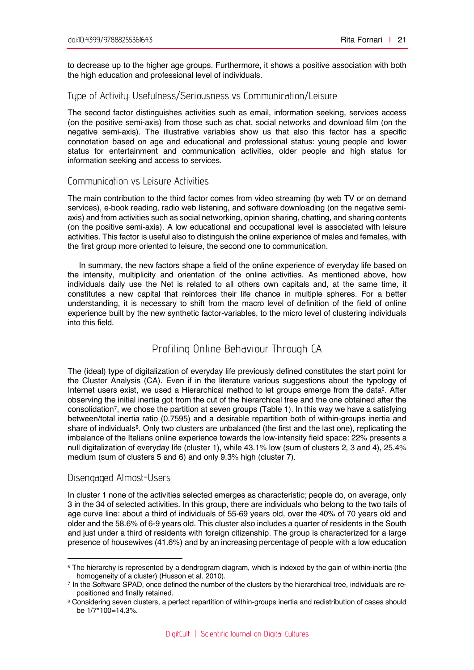to decrease up to the higher age groups. Furthermore, it shows a positive association with both the high education and professional level of individuals.

## Type of Activity: Usefulness/Seriousness vs Communication/Leisure

The second factor distinguishes activities such as email, information seeking, services access (on the positive semi-axis) from those such as chat, social networks and download film (on the negative semi-axis). The illustrative variables show us that also this factor has a specific connotation based on age and educational and professional status: young people and lower status for entertainment and communication activities, older people and high status for information seeking and access to services.

#### Communication vs Leisure Activities

The main contribution to the third factor comes from video streaming (by web TV or on demand services), e-book reading, radio web listening, and software downloading (on the negative semiaxis) and from activities such as social networking, opinion sharing, chatting, and sharing contents (on the positive semi-axis). A low educational and occupational level is associated with leisure activities. This factor is useful also to distinguish the online experience of males and females, with the first group more oriented to leisure, the second one to communication.

In summary, the new factors shape a field of the online experience of everyday life based on the intensity, multiplicity and orientation of the online activities. As mentioned above, how individuals daily use the Net is related to all others own capitals and, at the same time, it constitutes a new capital that reinforces their life chance in multiple spheres. For a better understanding, it is necessary to shift from the macro level of definition of the field of online experience built by the new synthetic factor-variables, to the micro level of clustering individuals into this field.

# Profiling Online Behaviour Through CA

The (ideal) type of digitalization of everyday life previously defined constitutes the start point for the Cluster Analysis (CA). Even if in the literature various suggestions about the typology of Internet users exist, we used a Hierarchical method to let groups emerge from the data<sup>6</sup>. After observing the initial inertia got from the cut of the hierarchical tree and the one obtained after the consolidation7, we chose the partition at seven groups (Table 1). In this way we have a satisfying between/total inertia ratio (0.7595) and a desirable repartition both of within-groups inertia and share of individuals<sup>8</sup>. Only two clusters are unbalanced (the first and the last one), replicating the imbalance of the Italians online experience towards the low-intensity field space: 22% presents a null digitalization of everyday life (cluster 1), while 43.1% low (sum of clusters 2, 3 and 4), 25.4% medium (sum of clusters 5 and 6) and only 9.3% high (cluster 7).

### Disengaged Almost-Users

 $\overline{a}$ 

In cluster 1 none of the activities selected emerges as characteristic; people do, on average, only 3 in the 34 of selected activities. In this group, there are individuals who belong to the two tails of age curve line: about a third of individuals of 55-69 years old, over the 40% of 70 years old and older and the 58.6% of 6-9 years old. This cluster also includes a quarter of residents in the South and just under a third of residents with foreign citizenship. The group is characterized for a large presence of housewives (41.6%) and by an increasing percentage of people with a low education

<sup>6</sup> The hierarchy is represented by a dendrogram diagram, which is indexed by the gain of within-inertia (the

homogeneity of a cluster) (Husson et al. 2010).<br>7 In the Software SPAD, once defined the number of the clusters by the hierarchical tree, individuals are repositioned and finally retained.

<sup>8</sup> Considering seven clusters, a perfect repartition of within-groups inertia and redistribution of cases should be 1/7\*100=14.3%.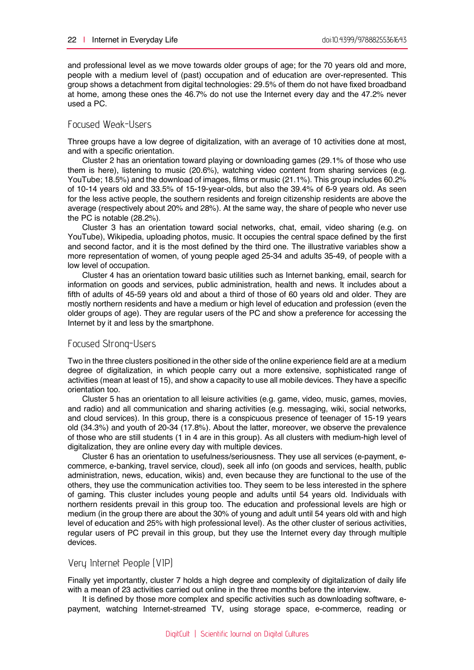and professional level as we move towards older groups of age; for the 70 years old and more, people with a medium level of (past) occupation and of education are over-represented. This group shows a detachment from digital technologies: 29.5% of them do not have fixed broadband at home, among these ones the 46.7% do not use the Internet every day and the 47.2% never used a PC.

## Focused Weak-Users

Three groups have a low degree of digitalization, with an average of 10 activities done at most, and with a specific orientation.

Cluster 2 has an orientation toward playing or downloading games (29.1% of those who use them is here), listening to music (20.6%), watching video content from sharing services (e.g. YouTube; 18.5%) and the download of images, films or music (21.1%). This group includes 60.2% of 10-14 years old and 33.5% of 15-19-year-olds, but also the 39.4% of 6-9 years old. As seen for the less active people, the southern residents and foreign citizenship residents are above the average (respectively about 20% and 28%). At the same way, the share of people who never use the PC is notable (28.2%).

Cluster 3 has an orientation toward social networks, chat, email, video sharing (e.g. on YouTube), Wikipedia, uploading photos, music. It occupies the central space defined by the first and second factor, and it is the most defined by the third one. The illustrative variables show a more representation of women, of young people aged 25-34 and adults 35-49, of people with a low level of occupation.

Cluster 4 has an orientation toward basic utilities such as Internet banking, email, search for information on goods and services, public administration, health and news. It includes about a fifth of adults of 45-59 years old and about a third of those of 60 years old and older. They are mostly northern residents and have a medium or high level of education and profession (even the older groups of age). They are regular users of the PC and show a preference for accessing the Internet by it and less by the smartphone.

### Focused Strong-Users

Two in the three clusters positioned in the other side of the online experience field are at a medium degree of digitalization, in which people carry out a more extensive, sophisticated range of activities (mean at least of 15), and show a capacity to use all mobile devices. They have a specific orientation too.

Cluster 5 has an orientation to all leisure activities (e.g. game, video, music, games, movies, and radio) and all communication and sharing activities (e.g. messaging, wiki, social networks, and cloud services). In this group, there is a conspicuous presence of teenager of 15-19 years old (34.3%) and youth of 20-34 (17.8%). About the latter, moreover, we observe the prevalence of those who are still students (1 in 4 are in this group). As all clusters with medium-high level of digitalization, they are online every day with multiple devices.

Cluster 6 has an orientation to usefulness/seriousness. They use all services (e-payment, ecommerce, e-banking, travel service, cloud), seek all info (on goods and services, health, public administration, news, education, wikis) and, even because they are functional to the use of the others, they use the communication activities too. They seem to be less interested in the sphere of gaming. This cluster includes young people and adults until 54 years old. Individuals with northern residents prevail in this group too. The education and professional levels are high or medium (in the group there are about the 30% of young and adult until 54 years old with and high level of education and 25% with high professional level). As the other cluster of serious activities, regular users of PC prevail in this group, but they use the Internet every day through multiple devices.

## Very Internet People (VIP)

Finally yet importantly, cluster 7 holds a high degree and complexity of digitalization of daily life with a mean of 23 activities carried out online in the three months before the interview.

It is defined by those more complex and specific activities such as downloading software, epayment, watching Internet-streamed TV, using storage space, e-commerce, reading or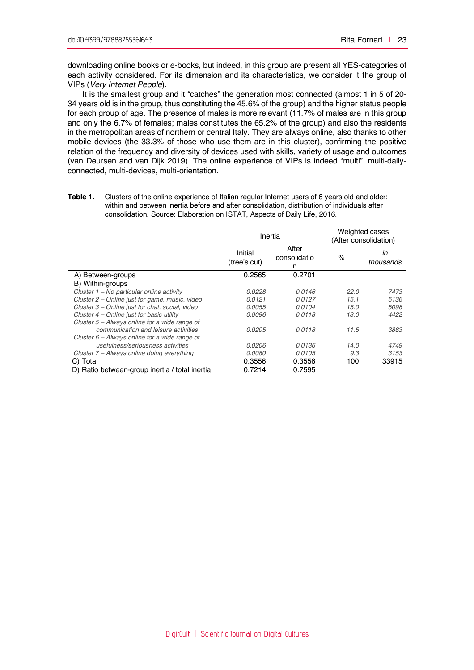downloading online books or e-books, but indeed, in this group are present all YES-categories of each activity considered. For its dimension and its characteristics, we consider it the group of VIPs (*Very Internet People*).

It is the smallest group and it "catches" the generation most connected (almost 1 in 5 of 20- 34 years old is in the group, thus constituting the 45.6% of the group) and the higher status people for each group of age. The presence of males is more relevant (11.7% of males are in this group and only the 6.7% of females; males constitutes the 65.2% of the group) and also the residents in the metropolitan areas of northern or central Italy. They are always online, also thanks to other mobile devices (the 33.3% of those who use them are in this cluster), confirming the positive relation of the frequency and diversity of devices used with skills, variety of usage and outcomes (van Deursen and van Dijk 2019). The online experience of VIPs is indeed "multi": multi-dailyconnected, multi-devices, multi-orientation.

| Table 1. | Clusters of the online experience of Italian regular Internet users of 6 years old and older: |
|----------|-----------------------------------------------------------------------------------------------|
|          | within and between inertia before and after consolidation, distribution of individuals after  |
|          | consolidation. Source: Elaboration on ISTAT, Aspects of Daily Life, 2016.                     |

|                                                 | Inertia                 |                            | Weighted cases<br>(After consolidation) |                 |
|-------------------------------------------------|-------------------------|----------------------------|-----------------------------------------|-----------------|
|                                                 | Initial<br>(tree's cut) | After<br>consolidatio<br>n | %                                       | ın<br>thousands |
| A) Between-groups                               | 0.2565                  | 0.2701                     |                                         |                 |
| B) Within-groups                                |                         |                            |                                         |                 |
| Cluster 1 - No particular online activity       | 0.0228                  | 0.0146                     | 22.0                                    | 7473            |
| Cluster 2 – Online just for game, music, video  | 0.0121                  | 0.0127                     | 15.1                                    | 5136            |
| Cluster 3 – Online just for chat, social, video | 0.0055                  | 0.0104                     | 15.0                                    | 5098            |
| Cluster $4$ – Online just for basic utility     | 0.0096                  | 0.0118                     | 13.0                                    | 4422            |
| Cluster $5 -$ Always online for a wide range of |                         |                            |                                         |                 |
| communication and leisure activities            | 0.0205                  | 0.0118                     | 11.5                                    | 3883            |
| Cluster $6$ – Always online for a wide range of |                         |                            |                                         |                 |
| usefulness/seriousness activities               | 0.0206                  | 0.0136                     | 14.0                                    | 4749            |
| Cluster 7 - Always online doing everything      | 0.0080                  | 0.0105                     | 9.3                                     | 3153            |
| C) Total                                        | 0.3556                  | 0.3556                     | 100                                     | 33915           |
| D) Ratio between-group inertia / total inertia  | 0.7214                  | 0.7595                     |                                         |                 |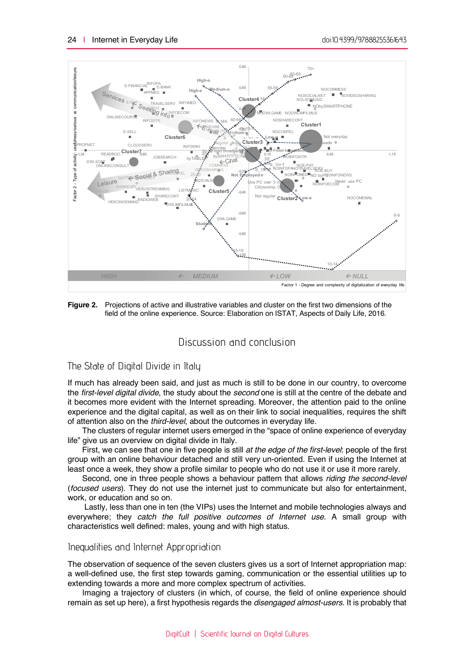

**Figure 2.** Projections of active and illustrative variables and cluster on the first two dimensions of the field of the online experience. Source: Elaboration on ISTAT, Aspects of Daily Life, 2016.

## Discussion and conclusion

#### The State of Digital Divide in Italy

If much has already been said, and just as much is still to be done in our country, to overcome the *first-level digital divide*, the study about the *second* one is still at the centre of the debate and it becomes more evident with the Internet spreading. Moreover, the attention paid to the online experience and the digital capital, as well as on their link to social inequalities, requires the shift of attention also on the *third-level*, about the outcomes in everyday life.

The clusters of regular internet users emerged in the "space of online experience of everyday life" give us an overview on digital divide in Italy.

First, we can see that one in five people is still *at the edge of the first-level*: people of the first group with an online behaviour detached and still very un-oriented. Even if using the Internet at least once a week, they show a profile similar to people who do not use it or use it more rarely.

Second, one in three people shows a behaviour pattern that allows *riding the second-level*  (*focused users*). They do not use the internet just to communicate but also for entertainment, work, or education and so on.

Lastly, less than one in ten (the VIPs) uses the Internet and mobile technologies always and everywhere; they *catch the full positive outcomes of Internet use*. A small group with characteristics well defined: males, young and with high status.

#### Inequalities and Internet Appropriation

The observation of sequence of the seven clusters gives us a sort of Internet appropriation map: a well-defined use, the first step towards gaming, communication or the essential utilities up to extending towards a more and more complex spectrum of activities.

Imaging a trajectory of clusters (in which, of course, the field of online experience should remain as set up here), a first hypothesis regards the *disengaged almost-users.* It is probably that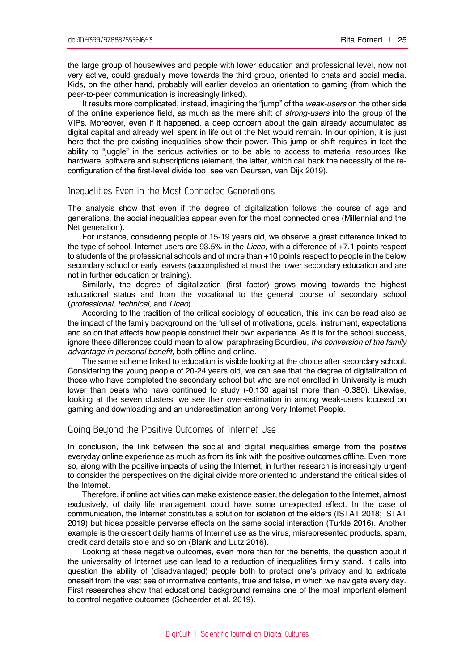the large group of housewives and people with lower education and professional level, now not very active, could gradually move towards the third group, oriented to chats and social media. Kids, on the other hand, probably will earlier develop an orientation to gaming (from which the peer-to-peer communication is increasingly linked).

It results more complicated, instead, imagining the "jump" of the *weak-users* on the other side of the online experience field, as much as the mere shift of *strong-users* into the group of the VIPs. Moreover, even if it happened, a deep concern about the gain already accumulated as digital capital and already well spent in life out of the Net would remain. In our opinion, it is just here that the pre-existing inequalities show their power. This jump or shift requires in fact the ability to "juggle" in the serious activities or to be able to access to material resources like hardware, software and subscriptions (element, the latter, which call back the necessity of the reconfiguration of the first-level divide too; see van Deursen, van Dijk 2019).

#### Inequalities Even in the Most Connected Generations

The analysis show that even if the degree of digitalization follows the course of age and generations, the social inequalities appear even for the most connected ones (Millennial and the Net generation).

For instance, considering people of 15-19 years old, we observe a great difference linked to the type of school. Internet users are 93.5% in the *Liceo*, with a difference of +7.1 points respect to students of the professional schools and of more than +10 points respect to people in the below secondary school or early leavers (accomplished at most the lower secondary education and are not in further education or training).

Similarly, the degree of digitalization (first factor) grows moving towards the highest educational status and from the vocational to the general course of secondary school (*professional*, *technical*, and *Liceo*).

According to the tradition of the critical sociology of education, this link can be read also as the impact of the family background on the full set of motivations, goals, instrument, expectations and so on that affects how people construct their own experience. As it is for the school success, ignore these differences could mean to allow, paraphrasing Bourdieu, *the conversion of the family advantage in personal benefit,* both offline and online.

The same scheme linked to education is visible looking at the choice after secondary school. Considering the young people of 20-24 years old, we can see that the degree of digitalization of those who have completed the secondary school but who are not enrolled in University is much lower than peers who have continued to study (-0.130 against more than -0.380). Likewise, looking at the seven clusters, we see their over-estimation in among weak-users focused on gaming and downloading and an underestimation among Very Internet People.

#### Going Beyond the Positive Outcomes of Internet Use

In conclusion, the link between the social and digital inequalities emerge from the positive everyday online experience as much as from its link with the positive outcomes offline. Even more so, along with the positive impacts of using the Internet, in further research is increasingly urgent to consider the perspectives on the digital divide more oriented to understand the critical sides of the Internet.

Therefore, if online activities can make existence easier, the delegation to the Internet, almost exclusively, of daily life management could have some unexpected effect. In the case of communication, the Internet constitutes a solution for isolation of the elders (ISTAT 2018; ISTAT 2019) but hides possible perverse effects on the same social interaction (Turkle 2016). Another example is the crescent daily harms of Internet use as the virus, misrepresented products, spam, credit card details stole and so on (Blank and Lutz 2016).

Looking at these negative outcomes, even more than for the benefits, the question about if the universality of Internet use can lead to a reduction of inequalities firmly stand. It calls into question the ability of (disadvantaged) people both to protect one's privacy and to extricate oneself from the vast sea of informative contents, true and false, in which we navigate every day. First researches show that educational background remains one of the most important element to control negative outcomes (Scheerder et al. 2019).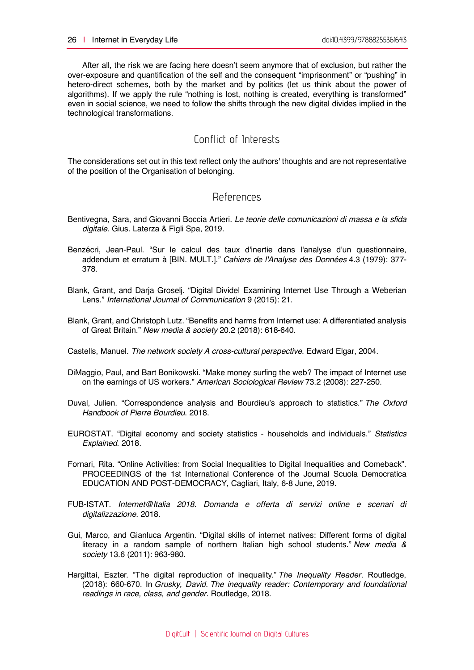After all, the risk we are facing here doesn't seem anymore that of exclusion, but rather the over-exposure and quantification of the self and the consequent "imprisonment" or "pushing" in hetero-direct schemes, both by the market and by politics (let us think about the power of algorithms). If we apply the rule "nothing is lost, nothing is created, everything is transformed" even in social science, we need to follow the shifts through the new digital divides implied in the technological transformations.

## Conflict of Interests

The considerations set out in this text reflect only the authors' thoughts and are not representative of the position of the Organisation of belonging.

## References

- Bentivegna, Sara, and Giovanni Boccia Artieri. *Le teorie delle comunicazioni di massa e la sfida digitale*. Gius. Laterza & Figli Spa, 2019.
- Benzécri, Jean-Paul. "Sur le calcul des taux d'inertie dans l'analyse d'un questionnaire, addendum et erratum à [BIN. MULT.]." *Cahiers de l'Analyse des Données* 4.3 (1979): 377- 378.
- Blank, Grant, and Darja Groselj. "Digital Dividel Examining Internet Use Through a Weberian Lens." *International Journal of Communication* 9 (2015): 21.
- Blank, Grant, and Christoph Lutz. "Benefits and harms from Internet use: A differentiated analysis of Great Britain." *New media & society* 20.2 (2018): 618-640.

Castells, Manuel. *The network society A cross-cultural perspective*. Edward Elgar, 2004.

- DiMaggio, Paul, and Bart Bonikowski. "Make money surfing the web? The impact of Internet use on the earnings of US workers." *American Sociological Review* 73.2 (2008): 227-250.
- Duval, Julien. "Correspondence analysis and Bourdieu's approach to statistics." *The Oxford Handbook of Pierre Bourdieu*. 2018.
- EUROSTAT. "Digital economy and society statistics households and individuals." *Statistics Explained*. 2018.
- Fornari, Rita. "Online Activities: from Social Inequalities to Digital Inequalities and Comeback". PROCEEDINGS of the 1st International Conference of the Journal Scuola Democratica EDUCATION AND POST-DEMOCRACY, Cagliari, Italy, 6-8 June, 2019.
- FUB-ISTAT. *Internet@Italia 2018. Domanda e offerta di servizi online e scenari di digitalizzazione*. 2018.
- Gui, Marco, and Gianluca Argentin. "Digital skills of internet natives: Different forms of digital literacy in a random sample of northern Italian high school students." *New media & society* 13.6 (2011): 963-980.
- Hargittai, Eszter. "The digital reproduction of inequality." *The Inequality Reader*. Routledge, (2018): 660-670. In *Grusky, David. The inequality reader: Contemporary and foundational readings in race, class, and gender.* Routledge, 2018.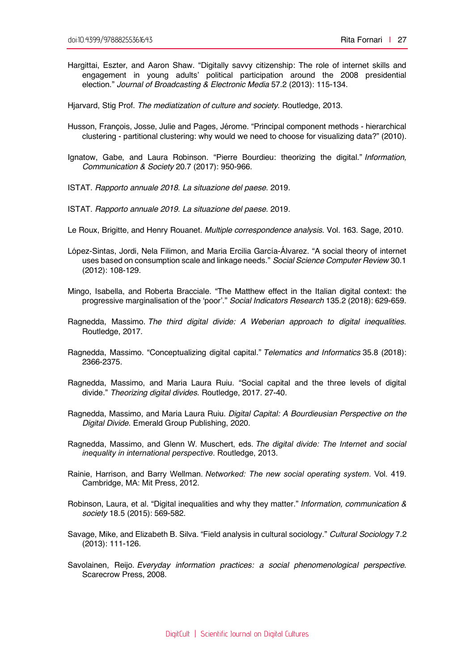Hargittai, Eszter, and Aaron Shaw. "Digitally savvy citizenship: The role of internet skills and engagement in young adults' political participation around the 2008 presidential election." *Journal of Broadcasting & Electronic Media* 57.2 (2013): 115-134.

Hjarvard, Stig Prof. *The mediatization of culture and society*. Routledge, 2013.

- Husson, François, Josse, Julie and Pages, Jérome. "Principal component methods hierarchical clustering - partitional clustering: why would we need to choose for visualizing data?" (2010).
- Ignatow, Gabe, and Laura Robinson. "Pierre Bourdieu: theorizing the digital." *Information, Communication & Society* 20.7 (2017): 950-966.
- ISTAT. *Rapporto annuale 2018. La situazione del paese.* 2019.
- ISTAT. *Rapporto annuale 2019. La situazione del paese.* 2019.
- Le Roux, Brigitte, and Henry Rouanet. *Multiple correspondence analysis*. Vol. 163. Sage, 2010.
- López-Sintas, Jordi, Nela Filimon, and Maria Ercilia García-Álvarez. "A social theory of internet uses based on consumption scale and linkage needs." *Social Science Computer Review* 30.1 (2012): 108-129.
- Mingo, Isabella, and Roberta Bracciale. "The Matthew effect in the Italian digital context: the progressive marginalisation of the 'poor'." *Social Indicators Research* 135.2 (2018): 629-659.
- Ragnedda, Massimo. *The third digital divide: A Weberian approach to digital inequalities*. Routledge, 2017.
- Ragnedda, Massimo. "Conceptualizing digital capital." *Telematics and Informatics* 35.8 (2018): 2366-2375.
- Ragnedda, Massimo, and Maria Laura Ruiu. "Social capital and the three levels of digital divide." *Theorizing digital divides*. Routledge, 2017. 27-40.
- Ragnedda, Massimo, and Maria Laura Ruiu. *Digital Capital: A Bourdieusian Perspective on the Digital Divide*. Emerald Group Publishing, 2020.
- Ragnedda, Massimo, and Glenn W. Muschert, eds. *The digital divide: The Internet and social inequality in international perspective*. Routledge, 2013.
- Rainie, Harrison, and Barry Wellman. *Networked: The new social operating system*. Vol. 419. Cambridge, MA: Mit Press, 2012.
- Robinson, Laura, et al. "Digital inequalities and why they matter." *Information, communication & society* 18.5 (2015): 569-582.
- Savage, Mike, and Elizabeth B. Silva. "Field analysis in cultural sociology." *Cultural Sociology* 7.2 (2013): 111-126.
- Savolainen, Reijo. *Everyday information practices: a social phenomenological perspective*. Scarecrow Press, 2008.